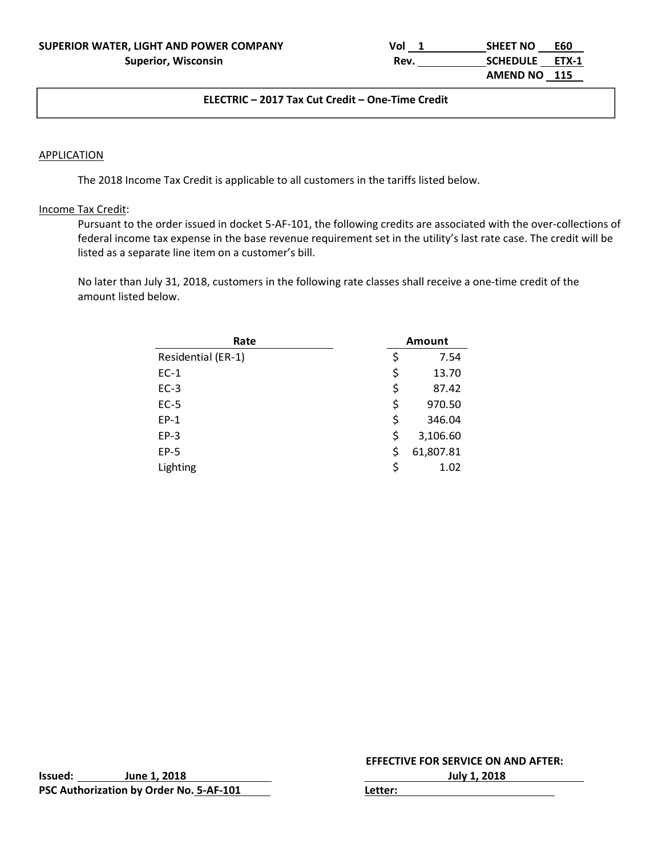| SUPERIOR WATER, LIGHT AND POWER COMPANY | Vol  | <b>SHEET NO</b> | <b>E60</b> |
|-----------------------------------------|------|-----------------|------------|
| <b>Superior, Wisconsin</b>              | Rev. | SCHEDULE ETX-1  |            |
|                                         |      | AMEND NO 115    |            |

#### **ELECTRIC – 2017 Tax Cut Credit – One‐Time Credit**

#### **APPLICATION**

The 2018 Income Tax Credit is applicable to all customers in the tariffs listed below.

#### Income Tax Credit:

Pursuant to the order issued in docket 5‐AF‐101, the following credits are associated with the over‐collections of federal income tax expense in the base revenue requirement set in the utility's last rate case. The credit will be listed as a separate line item on a customer's bill.

No later than July 31, 2018, customers in the following rate classes shall receive a one‐time credit of the amount listed below.

| Rate               | Amount          |
|--------------------|-----------------|
| Residential (ER-1) | \$<br>7.54      |
| $EC-1$             | \$<br>13.70     |
| $EC-3$             | \$<br>87.42     |
| $EC-5$             | \$<br>970.50    |
| $EP-1$             | \$<br>346.04    |
| $EP-3$             | \$<br>3,106.60  |
| $EP-5$             | \$<br>61,807.81 |
| Lighting           | \$<br>1.02      |

**Issued: June 1, 2018 July 1, 2018 PSC** Authorization by Order No. 5-AF-101 **1999** Letter: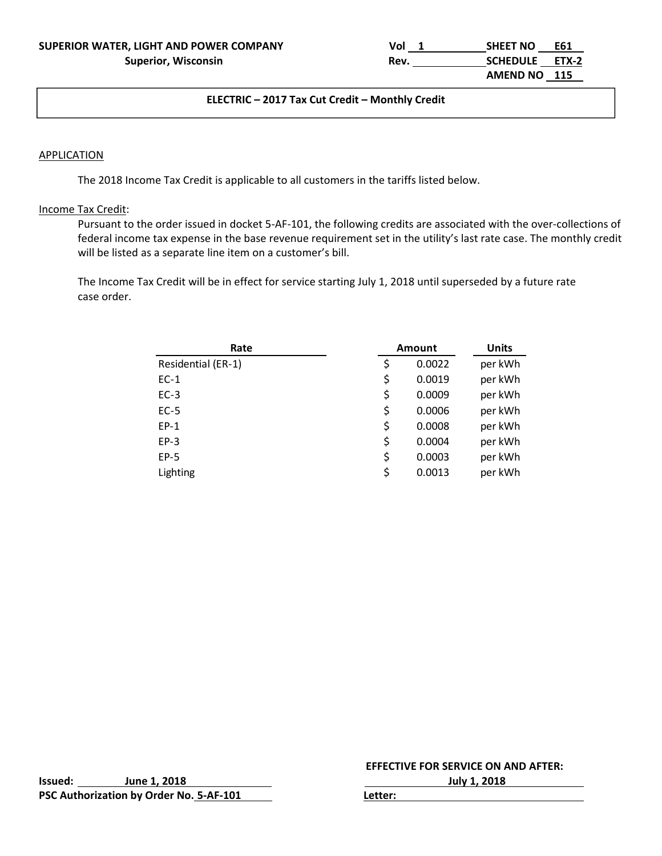| SUPERIOR WATER, LIGHT AND POWER COMPANY | Vol  | <b>SHEET NO</b> | E61 |
|-----------------------------------------|------|-----------------|-----|
| <b>Superior, Wisconsin</b>              | Rev. | SCHEDULE ETX-2  |     |
|                                         |      | AMEND NO 115    |     |

#### ل المساحة المساحة المساحة المساحة المساحة المساحة المساحة المساحة المساحة المساحة المساحة المساحة المساحة ال<br>وقد المساحة المساحة المساحة المساحة المساحة المساحة المساحة المساحة المساحة المساحة المساحة المساحة المساحة ال **ELECTRIC – 2017 Tax Cut Credit – Monthly Credit**

#### **APPLICATION**

The 2018 Income Tax Credit is applicable to all customers in the tariffs listed below.

#### Income Tax Credit:

Pursuant to the order issued in docket 5‐AF‐101, the following credits are associated with the over‐collections of federal income tax expense in the base revenue requirement set in the utility's last rate case. The monthly credit will be listed as a separate line item on a customer's bill.

The Income Tax Credit will be in effect for service starting July 1, 2018 until superseded by a future rate case order.

| Rate               | Amount       | <b>Units</b> |
|--------------------|--------------|--------------|
| Residential (ER-1) | \$<br>0.0022 | per kWh      |
| $EC-1$             | \$<br>0.0019 | per kWh      |
| $EC-3$             | \$<br>0.0009 | per kWh      |
| $EC-5$             | \$<br>0.0006 | per kWh      |
| $EP-1$             | \$<br>0.0008 | per kWh      |
| $EP-3$             | \$<br>0.0004 | per kWh      |
| $EP-5$             | \$<br>0.0003 | per kWh      |
| Lighting           | \$<br>0.0013 | per kWh      |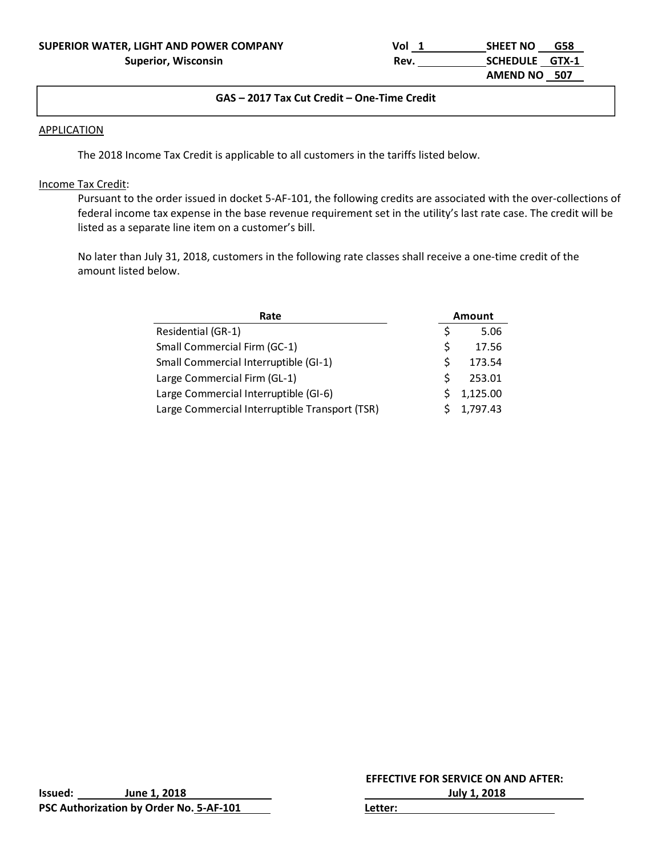# **GAS – 2017 Tax Cut Credit – One‐Time Credit**

#### **APPLICATION**

The 2018 Income Tax Credit is applicable to all customers in the tariffs listed below.

# Income Tax Credit:

Pursuant to the order issued in docket 5‐AF‐101, the following credits are associated with the over‐collections of federal income tax expense in the base revenue requirement set in the utility's last rate case. The credit will be listed as a separate line item on a customer's bill.

No later than July 31, 2018, customers in the following rate classes shall receive a one‐time credit of the amount listed below.

| Rate                                           |   | <b>Amount</b> |
|------------------------------------------------|---|---------------|
| Residential (GR-1)                             | Ś | 5.06          |
| Small Commercial Firm (GC-1)                   | S | 17.56         |
| Small Commercial Interruptible (GI-1)          | S | 173.54        |
| Large Commercial Firm (GL-1)                   | ς | 253.01        |
| Large Commercial Interruptible (GI-6)          |   | 1,125.00      |
| Large Commercial Interruptible Transport (TSR) |   | 1,797.43      |

| Issued: | June 1, 2018                            | <b>July 1, 2018</b> |  |
|---------|-----------------------------------------|---------------------|--|
|         | PSC Authorization by Order No. 5-AF-101 | ∟etter:             |  |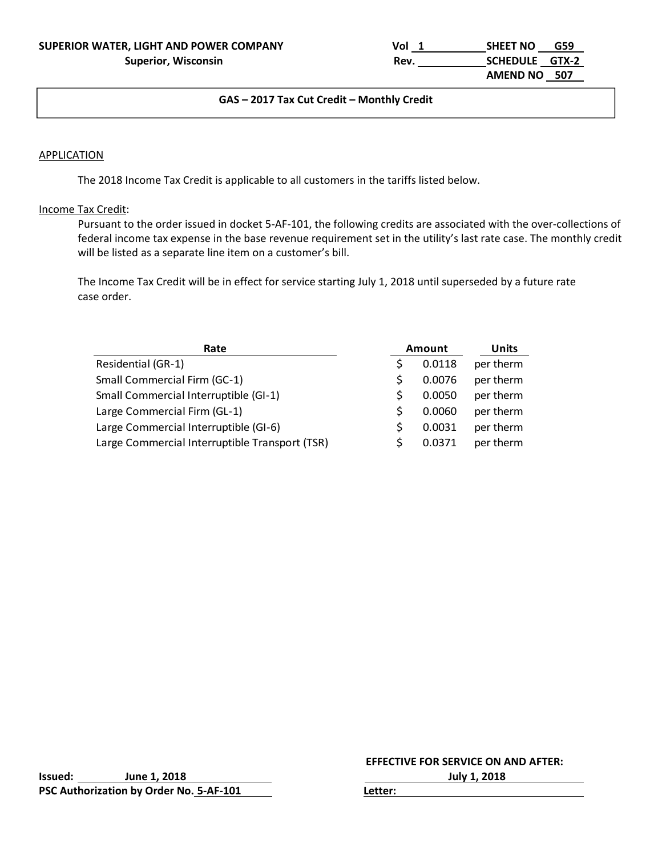| SUPERIOR WATER, LIGHT AND POWER COMPANY | Vol  | <b>SHEET NO</b> | G59 |
|-----------------------------------------|------|-----------------|-----|
| <b>Superior, Wisconsin</b>              | Rev. | SCHEDULE GTX-2  |     |
|                                         |      | AMEND NO 507    |     |

#### **GAS – 2017 Tax Cut Credit – Monthly Credit**

#### **APPLICATION**

The 2018 Income Tax Credit is applicable to all customers in the tariffs listed below.

#### Income Tax Credit:

Pursuant to the order issued in docket 5‐AF‐101, the following credits are associated with the over‐collections of federal income tax expense in the base revenue requirement set in the utility's last rate case. The monthly credit will be listed as a separate line item on a customer's bill.

The Income Tax Credit will be in effect for service starting July 1, 2018 until superseded by a future rate case order.

| Rate                                           |   | Amount | <b>Units</b> |
|------------------------------------------------|---|--------|--------------|
| Residential (GR-1)                             |   | 0.0118 | per therm    |
| <b>Small Commercial Firm (GC-1)</b>            | S | 0.0076 | per therm    |
| Small Commercial Interruptible (GI-1)          | S | 0.0050 | per therm    |
| Large Commercial Firm (GL-1)                   | S | 0.0060 | per therm    |
| Large Commercial Interruptible (GI-6)          |   | 0.0031 | per therm    |
| Large Commercial Interruptible Transport (TSR) | S | 0.0371 | per therm    |

**Issued: June 1, 2018 July 1, 2018 PSC Authorization by Order No. 5‐AF‐101 Letter:**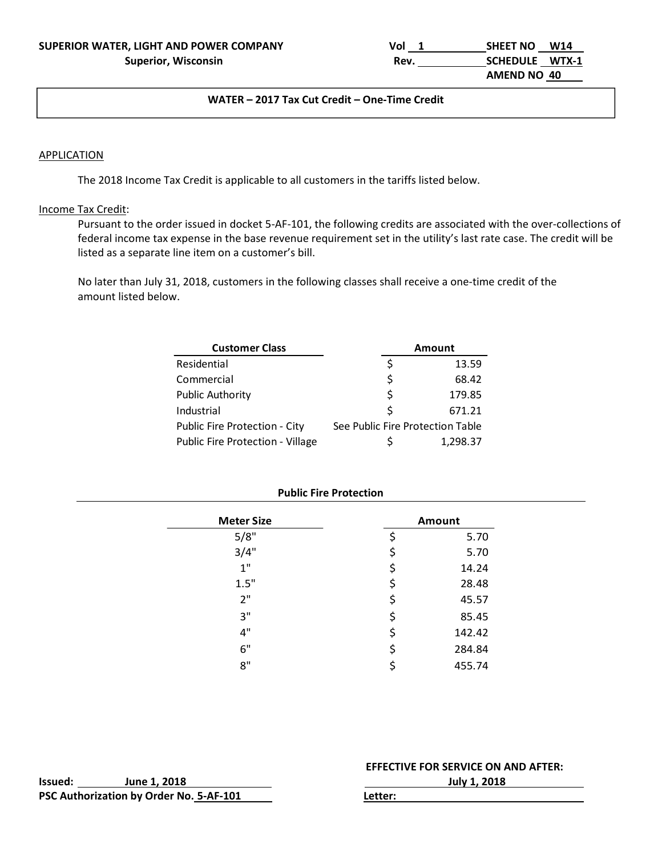| SUPERIOR WATER, LIGHT AND POWER COMPANY | Vol  | <b>SHEET NO</b> | W14 |
|-----------------------------------------|------|-----------------|-----|
| <b>Superior, Wisconsin</b>              | Rev. | SCHEDULE WTX-1  |     |
|                                         |      | AMEND NO 40     |     |

#### ل المساحة المساحة المساحة المساحة المساحة المساحة المساحة المساحة المساحة المساحة المساحة المساحة المساحة ال<br>ويستخدم المساحة المساحة المساحة المساحة المساحة المساحة المساحة المساحة المساحة المساحة المساحة المساحة المساح **WATER – 2017 Tax Cut Credit – One‐Time Credit**

# **APPLICATION**

The 2018 Income Tax Credit is applicable to all customers in the tariffs listed below.

# Income Tax Credit:

Pursuant to the order issued in docket 5‐AF‐101, the following credits are associated with the over‐collections of federal income tax expense in the base revenue requirement set in the utility's last rate case. The credit will be listed as a separate line item on a customer's bill.

No later than July 31, 2018, customers in the following classes shall receive a one‐time credit of the amount listed below.

| <b>Customer Class</b>            |                                  | Amount   |
|----------------------------------|----------------------------------|----------|
| Residential                      |                                  | 13.59    |
| Commercial                       | Ś                                | 68.42    |
| Public Authority                 | Ś                                | 179.85   |
| Industrial                       | Ś                                | 671.21   |
| Public Fire Protection - City    | See Public Fire Protection Table |          |
| Public Fire Protection - Village |                                  | 1.298.37 |

#### **Public Fire Protection**

| <b>Meter Size</b> | Amount       |
|-------------------|--------------|
| 5/8"              | 5.70         |
| 3/4"              | \$<br>5.70   |
| 1"                | \$<br>14.24  |
| 1.5"              | \$<br>28.48  |
| 2"                | \$<br>45.57  |
| 3"                | \$<br>85.45  |
| 4"                | \$<br>142.42 |
| 6"                | \$<br>284.84 |
| 8"                | 455.74       |

|         |                                         | <b>EFFECTIVE FOR SERVICE ON AND AFTER:</b> |
|---------|-----------------------------------------|--------------------------------------------|
| Issued: | June 1. 2018                            | July 1, 2018                               |
|         | PSC Authorization by Order No. 5-AF-101 | Letter:                                    |